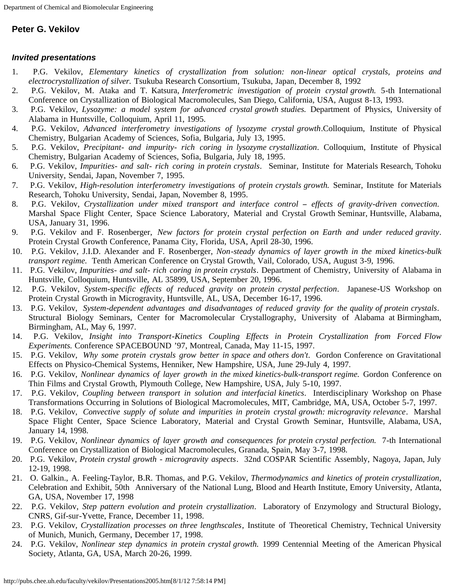## **Peter G. Vekilov**

## *Invited presentations*

- 1. P.G. Vekilov, *Elementary kinetics of crystallization from solution: non-linear optical crystals, proteins and electrocrystallization of silver.* Tsukuba Research Consortium, Tsukuba, Japan, December 8, 1992
- 2. P.G. Vekilov, M. Ataka and T. Katsura, *Interferometric investigation of protein crystal growth.* 5-th International Conference on Crystallization of Biological Macromolecules, San Diego, California, USA, August 8-13, 1993.
- 3. P.G. Vekilov, *Lysozyme: a model system for advanced crystal growth studies.* Department of Physics, University of Alabama in Huntsville, Colloquium, April 11, 1995.
- 4. P.G. Vekilov, *Advanced interferometry investigations of lysozyme crystal growth*.Colloquium, Institute of Physical Chemistry, Bulgarian Academy of Sciences, Sofia, Bulgaria, July 13, 1995.
- 5. P.G. Vekilov, *Precipitant- and impurity- rich coring in lysozyme crystallization*. Colloquium, Institute of Physical Chemistry, Bulgarian Academy of Sciences, Sofia, Bulgaria, July 18, 1995.
- 6. P.G. Vekilov, *Impurities- and salt- rich coring in protein crystals*. Seminar, Institute for Materials Research, Tohoku University, Sendai, Japan, November 7, 1995.
- 7. P.G. Vekilov, *High-resolution interferometry investigations of protein crystals growth.* Seminar, Institute for Materials Research, Tohoku University, Sendai, Japan, November 8, 1995.
- 8. P.G. Vekilov, *Crystallization under mixed transport and interface control effects of gravity-driven convection*. Marshal Space Flight Center, Space Science Laboratory, Material and Crystal Growth Seminar, Huntsville, Alabama, USA, January 31, 1996.
- 9. P.G. Vekilov and F. Rosenberger, *New factors for protein crystal perfection on Earth and under reduced gravity*. Protein Crystal Growth Conference, Panama City, Florida, USA, April 28-30, 1996.
- 10. P.G. Vekilov, J.I.D. Alexander and F. Rosenberger, *Non-steady dynamics of layer growth in the mixed kinetics-bulk transport regime.* Tenth American Conference on Crystal Growth, Vail, Colorado, USA, August 3-9, 1996.
- 11. P.G. Vekilov, *Impurities- and salt- rich coring in protein crystals*. Department of Chemistry, University of Alabama in Huntsville, Colloquium, Huntsville, AL 35899, USA, September 20, 1996.
- 12. P.G. Vekilov, *System-specific effects of reduced gravity on protein crystal perfection*. Japanese-US Workshop on Protein Crystal Growth in Microgravity, Huntsville, AL, USA, December 16-17, 1996.
- 13. P.G. Vekilov, *System-dependent advantages and disadvantages of reduced gravity for the quality of protein crystals*. Structural Biology Seminars, Center for Macromolecular Crystallography, University of Alabama at Birmingham, Birmingham, AL, May 6, 1997.
- 14. P.G. Vekilov, *Insight into Transport-Kinetics Coupling Effects in Protein Crystallization from Forced Flow Experiments.* Conference SPACEBOUND '97, Montreal, Canada, May 11-15, 1997.
- 15. P.G. Vekilov, *Why some protein crystals grow better in space and others don't*. Gordon Conference on Gravitational Effects on Physico-Chemical Systems, Henniker, New Hampshire, USA, June 29-July 4, 1997.
- 16. P.G. Vekilov, *Nonlinear dynamics of layer growth in the mixed kinetics-bulk-transport regime.* Gordon Conference on Thin Films and Crystal Growth, Plymouth College, New Hampshire, USA, July 5-10, 1997.
- 17. P.G. Vekilov, *Coupling between transport in solution and interfacial kinetics*. Interdisciplinary Workshop on Phase Transformations Occurring in Solutions of Biological Macromolecules, MIT, Cambridge, MA, USA, October 5-7, 1997.
- 18. P.G. Vekilov, *Convective supply of solute and impurities in protein crystal growth: microgravity relevance*. Marshal Space Flight Center, Space Science Laboratory, Material and Crystal Growth Seminar, Huntsville, Alabama, USA, January 14, 1998.
- 19. P.G. Vekilov, *Nonlinear dynamics of layer growth and consequences for protein crystal perfection.* 7-th International Conference on Crystallization of Biological Macromolecules, Granada, Spain, May 3-7, 1998.
- 20. P.G. Vekilov, *Protein crystal growth microgravity aspects*. 32nd COSPAR Scientific Assembly, Nagoya, Japan, July 12-19, 1998.
- 21. O. Galkin., A. Feeling-Taylor, B.R. Thomas, and P.G. Vekilov, *Thermodynamics and kinetics of protein crystallization*, Celebration and Exhibit, 50th Anniversary of the National Lung, Blood and Hearth Institute, Emory University, Atlanta, GA, USA, November 17, 1998
- 22. P.G. Vekilov, *Step pattern evolution and protein crystallization*. Laboratory of Enzymology and Structural Biology, CNRS, Gif-sur-Yvette, France, December 11, 1998.
- 23. P.G. Vekilov, *Crystallization processes on three lengthscales*, Institute of Theoretical Chemistry, Technical University of Munich, Munich, Germany, December 17, 1998.
- 24. P.G. Vekilov, *Nonlinear step dynamics in protein crystal growth.* 1999 Centennial Meeting of the American Physical Society, Atlanta, GA, USA, March 20-26, 1999.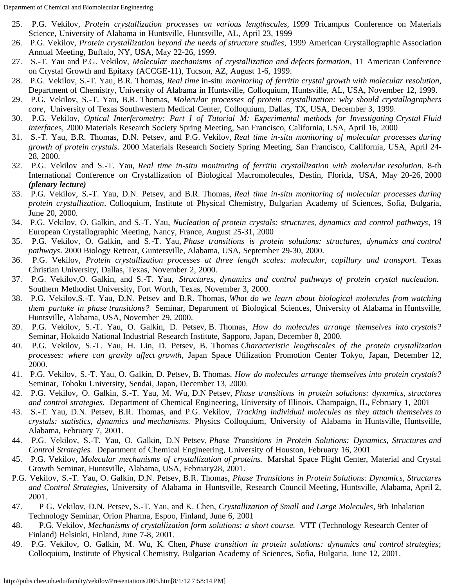- 25. P.G. Vekilov, *Protein crystallization processes on various lengthscales,* 1999 Tricampus Conference on Materials Science, University of Alabama in Huntsville, Huntsville, AL, April 23, 1999
- 26. P.G. Vekilov, *Protein crystallization beyond the needs of structure studies*, 1999 American Crystallographic Association Annual Meeting, Buffalo, NY, USA, May 22-26, 1999.
- 27. S.-T. Yau and P.G. Vekilov, *Molecular mechanisms of crystallization and defects formation*, 11 American Conference on Crystal Growth and Epitaxy (ACCGE-11), Tucson, AZ, August 1-6, 1999.
- 28. P.G. Vekilov, S.-T. Yau, B.R. Thomas, *Real time* in-situ *monitoring of ferritin crystal growth with molecular resolution*, Department of Chemistry, University of Alabama in Huntsville, Colloquium, Huntsville, AL, USA, November 12, 1999.
- 29. P.G. Vekilov, S.-T. Yau, B.R. Thomas, *Molecular processes of protein crystallization: why should crystallographers care*, University of Texas Southwestern Medical Center, Colloquium, Dallas, TX, USA, December 3, 1999.
- 30. P.G. Vekilov, *Optical Interferometry: Part I of Tutorial M: Experimental methods for Investigating Crystal Fluid interface*s, 2000 Materials Research Society Spring Meeting, San Francisco, California, USA, April 16, 2000
- 31. S.-T. Yau, B.R. Thomas, D.N. Petsev, and P.G. Vekilov, *Real time in-situ monitoring of molecular processes during growth of protein crystals*. 2000 Materials Research Society Spring Meeting, San Francisco, California, USA, April 24- 28, 2000.
- 32. P.G. Vekilov and S.-T. Yau, *Real time in-situ monitoring of ferritin crystallization with molecular resolution*. 8-th International Conference on Crystallization of Biological Macromolecules, Destin, Florida, USA, May 20-26, 2000 *(plenary lecture)*
- 33. P.G. Vekilov, S.-T. Yau, D.N. Petsev, and B.R. Thomas, *Real time in-situ monitoring of molecular processes during protein crystallization*. Colloquium, Institute of Physical Chemistry, Bulgarian Academy of Sciences, Sofia, Bulgaria, June 20, 2000.
- 34. P.G. Vekilov, O. Galkin, and S.-T. Yau, *Nucleation of protein crystals: structures, dynamics and control pathways*, 19 European Crystallographic Meeting, Nancy, France, August 25-31, 2000
- 35. P.G. Vekilov, O. Galkin, and S.-T. Yau, *Phase transitions is protein solutions: structures, dynamics and control pathways*. 2000 Biology Retreat, Guntersville, Alabama, USA, September 29-30, 2000.
- 36. P.G. Vekilov, *Protein crystallization processes at three length scales: molecular, capillary and transport*. Texas Christian University, Dallas, Texas, November 2, 2000.
- 37. P.G. Vekilov,O. Galkin, and S.-T. Yau, *Structures, dynamics and control pathways of protein crystal nucleation.* Southern Methodist University, Fort Worth, Texas, November 3, 2000.
- 38. P.G. Vekilov,S.-T. Yau, D.N. Petsev and B.R. Thomas, *What do we learn about biological molecules from watching them partake in phase transitions?* Seminar, Department of Biological Sciences, University of Alabama in Huntsville, Huntsville, Alabama, USA, November 29, 2000.
- 39. P.G. Vekilov, S.-T. Yau, O. Galkin, D. Petsev, B. Thomas, *How do molecules arrange themselves into crystals?* Seminar, Hokaido National Industrial Research Institute, Sapporo, Japan, December 8, 2000.
- 40. P.G. Vekilov, S.-T. Yau, H. Lin, D. Petsev, B. Thomas *Characteristic lengthscales of the protein crystallization processes: where can gravity affect growth,* Japan Space Utilization Promotion Center Tokyo, Japan, December 12, 2000.
- 41. P.G. Vekilov, S.-T. Yau, O. Galkin, D. Petsev, B. Thomas, *How do molecules arrange themselves into protein crystals?* Seminar, Tohoku University, Sendai, Japan, December 13, 2000.
- 42. P.G. Vekilov, O. Galkin, S.-T. Yau, M. Wu, D.N Petsev, *Phase transitions in protein solutions: dynamics, structures and control strategies.* Department of Chemical Engineering, University of Illinois, Champaign, IL, February 1, 2001
- 43. S.-T. Yau, D.N. Petsev, B.R. Thomas, and P.G. Vekilov, *Tracking individual molecules as they attach themselves to crystals: statistics, dynamics and mechanisms.* Physics Colloquium, University of Alabama in Huntsville, Huntsville, Alabama, February 7, 2001.
- 44. P.G. Vekilov, S.-T. Yau, O. Galkin, D.N Petsev, *Phase Transitions in Protein Solutions: Dynamics, Structures and Control Strategies.* Department of Chemical Engineering, University of Houston, February 16, 2001
- 45. P.G. Vekilov, *Molecular mechanisms of crystallization of proteins.* Marshal Space Flight Center, Material and Crystal Growth Seminar, Huntsville, Alabama, USA, February28, 2001.
- P.G. Vekilov, S.-T. Yau, O. Galkin, D.N. Petsev, B.R. Thomas, *Phase Transitions in Protein Solutions: Dynamics, Structures and Control Strategies*, University of Alabama in Huntsville, Research Council Meeting, Huntsville, Alabama, April 2, 2001.
- 47. P G. Vekilov, D.N. Petsev, S.-T. Yau, and K. Chen, *Crystallization of Small and Large Molecules*, 9th Inhalation Technology Seminar, Orion Pharma, Espoo, Finland, June 6, 2001
- 48. P.G. Vekilov, *Mechanisms of crystallization form solutions: a short course.* VTT (Technology Research Center of Finland) Helsinki, Finland, June 7-8, 2001.
- 49. P.G. Vekilov, O. Galkin, M. Wu, K. Chen, *Phase transition in protein solutions: dynamics and control strategies*; Colloquium, Institute of Physical Chemistry, Bulgarian Academy of Sciences, Sofia, Bulgaria, June 12, 2001.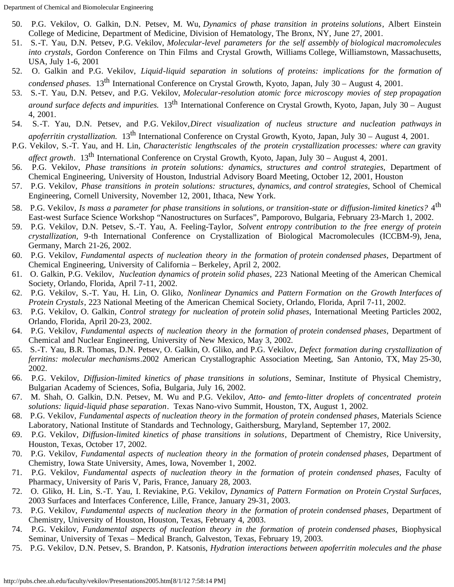- 50. P.G. Vekilov, O. Galkin, D.N. Petsev, M. Wu, *Dynamics of phase transition in proteins solutions*, Albert Einstein College of Medicine, Department of Medicine, Division of Hematology, The Bronx, NY, June 27, 2001.
- 51. S.-T. Yau, D.N. Petsev, P.G. Vekilov, *Molecular-level parameters for the self assembly of biological macromolecules into crystals*, Gordon Conference on Thin Films and Crystal Growth, Williams College, Williamstown, Massachusetts, USA, July 1-6, 2001
- 52. O. Galkin and P.G. Vekilov, *Liquid-liquid separation in solutions of proteins: implications for the formation of condensed phases.* 13th International Conference on Crystal Growth, Kyoto, Japan, July 30 – August 4, 2001.
- 53. S.-T. Yau, D.N. Petsev, and P.G. Vekilov, *Molecular-resolution atomic force microscopy movies of step propagation around surface defects and impurities.* 13th International Conference on Crystal Growth, Kyoto, Japan, July 30 – August 4, 2001.
- 54. S.-T. Yau, D.N. Petsev, and P.G. Vekilov,*Direct visualization of nucleus structure and nucleation pathways in apoferritin crystallization.* 13th International Conference on Crystal Growth, Kyoto, Japan, July 30 – August 4, 2001.
- P.G. Vekilov, S.-T. Yau, and H. Lin, *Characteristic lengthscales of the protein crystallization processes: where can gravity affect growth*. 13th International Conference on Crystal Growth, Kyoto, Japan, July 30 – August 4, 2001.
- 56. P.G. Vekilov, *Phase transitions in protein solutions: dynamics, structures and control strategies,* Department of Chemical Engineering, University of Houston, Industrial Advisory Board Meeting, October 12, 2001, Houston
- 57. P.G. Vekilov, *Phase transitions in protein solutions: structures, dynamics, and control strategies,* School of Chemical Engineering, Cornell University, November 12, 2001, Ithaca, New York.
- 58. P.G. Vekilov, *Is mass a parameter for phase transitions in solutions, or transition-state or diffusion-limited kinetics?* 4th East-west Surface Science Workshop "Nanostructures on Surfaces", Pamporovo, Bulgaria, February 23-March 1, 2002.
- 59. P.G. Vekilov, D.N. Petsev, S.-T. Yau, A. Feeling-Taylor, *Solvent entropy contribution to the free energy of protein crystallization,* 9-th International Conference on Crystallization of Biological Macromolecules (ICCBM-9), Jena, Germany, March 21-26, 2002.
- 60. P.G. Vekilov, *Fundamental aspects of nucleation theory in the formation of protein condensed phases*, Department of Chemical Engineering, University of California – Berkeley, April 2, 2002.
- 61. O. Galkin, P.G. Vekilov, *Nucleation dynamics of protein solid phases*, 223 National Meeting of the American Chemical Society, Orlando, Florida, April 7-11, 2002.
- 62. P.G. Vekilov, S.-T. Yau, H. Lin, O. Gliko, *Nonlinear Dynamics and Pattern Formation on the Growth Interfaces of Protein Crystals*, 223 National Meeting of the American Chemical Society, Orlando, Florida, April 7-11, 2002.
- 63. P.G. Vekilov, O. Galkin, *Control strategy for nucleation of protein solid phases*, International Meeting Particles 2002, Orlando, Florida, April 20-23, 2002.
- 64. P.G. Vekilov, *Fundamental aspects of nucleation theory in the formation of protein condensed phases*, Department of Chemical and Nuclear Engineering, University of New Mexico, May 3, 2002.
- 65. S.-T. Yau, B.R. Thomas, D.N. Petsev, O. Galkin, O. Gliko, and P.G. Vekilov, *Defect formation during crystallization of ferritins: molecular mechanisms*.2002 American Crystallographic Association Meeting, San Antonio, TX, May 25-30, 2002.
- 66. P.G. Vekilov, *Diffusion-limited kinetics of phase transitions in solutions*, Seminar, Institute of Physical Chemistry, Bulgarian Academy of Sciences, Sofia, Bulgaria, July 16, 2002.
- 67. M. Shah, O. Galkin, D.N. Petsev, M. Wu and P.G. Vekilov, *Atto- and femto-litter droplets of concentrated protein solutions: liquid-liquid phase separation*. Texas Nano-vivo Summit, Houston, TX, August 1, 2002.
- 68. P.G. Vekilov, *Fundamental aspects of nucleation theory in the formation of protein condensed phases*, Materials Science Laboratory, National Institute of Standards and Technology, Gaithersburg, Maryland, September 17, 2002.
- 69. P.G. Vekilov, *Diffusion-limited kinetics of phase transitions in solutions*, Department of Chemistry, Rice University, Houston, Texas, October 17, 2002.
- 70. P.G. Vekilov, *Fundamental aspects of nucleation theory in the formation of protein condensed phases*, Department of Chemistry, Iowa State University, Ames, Iowa, November 1, 2002.
- 71. P.G. Vekilov, *Fundamental aspects of nucleation theory in the formation of protein condensed phases*, Faculty of Pharmacy, University of Paris V, Paris, France, January 28, 2003.
- 72. O. Gliko, H. Lin, S.-T. Yau, I. Reviakine, P.G. Vekilov, *Dynamics of Pattern Formation on Protein Crystal Surfaces,* 2003 Surfaces and Interfaces Conference, Lille, France, January 29-31, 2003.
- 73. P.G. Vekilov, *Fundamental aspects of nucleation theory in the formation of protein condensed phases*, Department of Chemistry, University of Houston, Houston, Texas, February 4, 2003.
- 74. P.G. Vekilov, *Fundamental aspects of nucleation theory in the formation of protein condensed phases*, Biophysical Seminar, University of Texas – Medical Branch, Galveston, Texas, February 19, 2003.
- 75. P.G. Vekilov, D.N. Petsev, S. Brandon, P. Katsonis, *Hydration interactions between apoferritin molecules and the phase*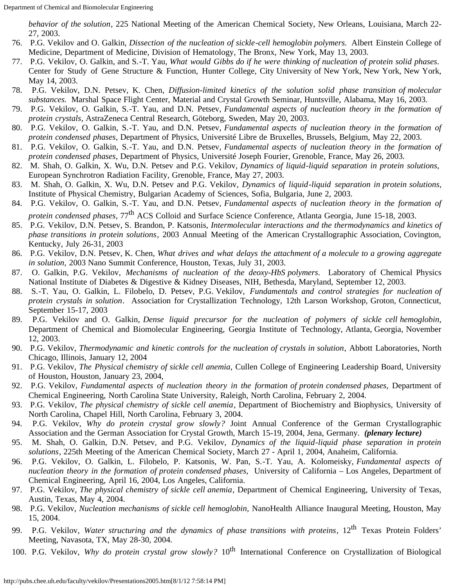*behavior of the solution*, 225 National Meeting of the American Chemical Society, New Orleans, Louisiana, March 22- 27, 2003.

- 76. P.G. Vekilov and O. Galkin, *Dissection of the nucleation of sickle-cell hemoglobin polymers.* Albert Einstein College of Medicine, Department of Medicine, Division of Hematology, The Bronx, New York, May 13, 2003.
- 77. P.G. Vekilov, O. Galkin, and S.-T. Yau, *What would Gibbs do if he were thinking of nucleation of protein solid phases*. Center for Study of Gene Structure & Function, Hunter College, City University of New York, New York, New York, May 14, 2003.
- 78. P.G. Vekilov, D.N. Petsev, K. Chen, *Diffusion-limited kinetics of the solution solid phase transition of molecular substances.* Marshal Space Flight Center, Material and Crystal Growth Seminar, Huntsville, Alabama, May 16, 2003.
- 79. P.G. Vekilov, O. Galkin, S.-T. Yau, and D.N. Petsev, *Fundamental aspects of nucleation theory in the formation of protein crystals*, AstraZeneca Central Research, Göteborg, Sweden, May 20, 2003.
- 80. P.G. Vekilov, O. Galkin, S.-T. Yau, and D.N. Petsev, *Fundamental aspects of nucleation theory in the formation of protein condensed phases*, Department of Physics, Université Libre de Bruxelles, Brussels, Belgium, May 22, 2003.
- 81. P.G. Vekilov, O. Galkin, S.-T. Yau, and D.N. Petsev, *Fundamental aspects of nucleation theory in the formation of protein condensed phases*, Department of Physics, Université Joseph Fourier, Grenoble, France, May 26, 2003.
- 82. M. Shah, O. Galkin, X. Wu, D.N. Petsev and P.G. Vekilov, *Dynamics of liquid-liquid separation in protein solutions,* European Synchrotron Radiation Facility, Grenoble, France, May 27, 2003.
- 83. M. Shah, O. Galkin, X. Wu, D.N. Petsev and P.G. Vekilov, *Dynamics of liquid-liquid separation in protein solutions,* Institute of Physical Chemistry, Bulgarian Academy of Sciences, Sofia, Bulgaria, June 2, 2003.
- 84. P.G. Vekilov, O. Galkin, S.-T. Yau, and D.N. Petsev, *Fundamental aspects of nucleation theory in the formation of protein condensed phases*, 77th ACS Colloid and Surface Science Conference, Atlanta Georgia, June 15-18, 2003.
- 85. P.G. Vekilov, D.N. Petsev, S. Brandon, P. Katsonis, *Intermolecular interactions and the thermodynamics and kinetics of phase transitions in protein solutions*, 2003 Annual Meeting of the American Crystallographic Association, Covington, Kentucky, July 26-31, 2003
- 86. P.G. Vekilov, D.N. Petsev, K. Chen, *What drives and what delays the attachment of a molecule to a growing aggregate in solution,* 2003 Nano Summit Conference, Houston, Texas, July 31, 2003.
- 87. O. Galkin, P.G. Vekilov, *Mechanisms of nucleation of the deoxy-HbS polymers*. Laboratory of Chemical Physics National Institute of Diabetes & Digestive & Kidney Diseases, NIH, Bethesda, Maryland, September 12, 2003.
- 88. S.-T. Yau, O. Galkin, L. Filobelo, D. Petsev, P.G. Vekilov, *Fundamentals and control strategies for nucleation of protein crystals in solution*. Association for Crystallization Technology, 12th Larson Workshop, Groton, Connecticut, September 15-17, 2003
- 89. P.G. Vekilov and O. Galkin, *Dense liquid precursor for the nucleation of polymers of sickle cell hemoglobin*, Department of Chemical and Biomolecular Engineering, Georgia Institute of Technology, Atlanta, Georgia, November 12, 2003.
- 90. P.G. Vekilov, *Thermodynamic and kinetic controls for the nucleation of crystals in solution*, Abbott Laboratories, North Chicago, Illinois, January 12, 2004
- 91. P.G. Vekilov, *The Physical chemistry of sickle cell anemia,* Cullen College of Engineering Leadership Board, University of Houston, Houston, January 23, 2004,
- 92. P.G. Vekilov, *Fundamental aspects of nucleation theory in the formation of protein condensed phases*, Department of Chemical Engineering, North Carolina State University, Raleigh, North Carolina, February 2, 2004.
- 93. P.G. Vekilov, *The physical chemistry of sickle cell anemia*, Department of Biochemistry and Biophysics, University of North Carolina, Chapel Hill, North Carolina, February 3, 2004.
- 94. P.G. Vekilov, *Why do protein crystal grow slowly?* Joint Annual Conference of the German Crystallographic Association and the German Association for Crystal Growth, March 15-19, 2004, Jena, Germany. *(plenary lecture)*
- 95. M. Shah, O. Galkin, D.N. Petsev, and P.G. Vekilov, *Dynamics of the liquid-liquid phase separation in protein solutions*, 225th Meeting of the American Chemical Society, March 27 - April 1, 2004, Anaheim, California.
- 96. P.G. Vekilov, O. Galkin, L. Filobelo, P. Katsonis, W. Pan, S.-T. Yau, A. Kolomeisky, *Fundamental aspects of nucleation theory in the formation of protein condensed phases,* University of California – Los Angeles, Department of Chemical Engineering, April 16, 2004, Los Angeles, California.
- 97. P.G. Vekilov, *The physical chemistry of sickle cell anemia*, Department of Chemical Engineering, University of Texas, Austin, Texas, May 4, 2004.
- 98. P.G. Vekilov, *Nucleation mechanisms of sickle cell hemoglobin*, NanoHealth Alliance Inaugural Meeting, Houston, May 15, 2004.
- 99. P.G. Vekilov, Water structuring and the dynamics of phase transitions with proteins, 12<sup>th</sup> Texas Protein Folders' Meeting, Navasota, TX, May 28-30, 2004.
- 100. P.G. Vekilov, *Why do protein crystal grow slowly?* 10th International Conference on Crystallization of Biological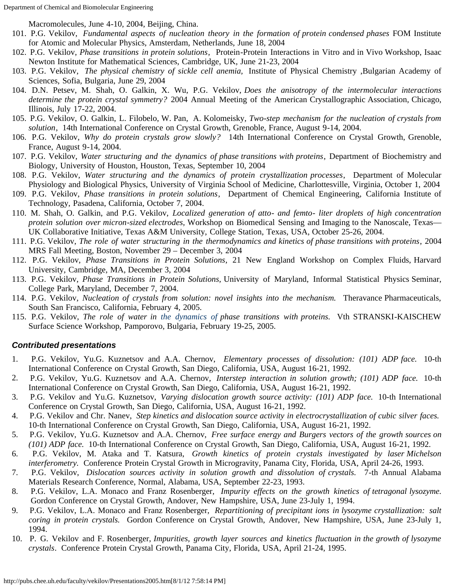Macromolecules, June 4-10, 2004, Beijing, China.

- 101. P.G. Vekilov, *Fundamental aspects of nucleation theory in the formation of protein condensed phases* FOM Institute for Atomic and Molecular Physics, Amsterdam, Netherlands, June 18, 2004
- 102. P.G. Vekilov, *Phase transitions in protein solutions*, Protein-Protein Interactions in Vitro and in Vivo Workshop, Isaac Newton Institute for Mathematical Sciences, Cambridge, UK, June 21-23, 2004
- 103. P.G. Vekilov, *The physical chemistry of sickle cell anemia,* Institute of Physical Chemistry ,Bulgarian Academy of Sciences, Sofia, Bulgaria, June 29, 2004
- 104. D.N. Petsev, M. Shah, O. Galkin, X. Wu, P.G. Vekilov, *Does the anisotropy of the intermolecular interactions determine the protein crystal symmetry?* 2004 Annual Meeting of the American Crystallographic Association, Chicago, Illinois, July 17-22, 2004.
- 105. P.G. Vekilov, O. Galkin, L. Filobelo, W. Pan, A. Kolomeisky, *Two-step mechanism for the nucleation of crystals from solution*, 14th International Conference on Crystal Growth, Grenoble, France, August 9-14, 2004.
- 106. P.G. Vekilov, *Why do protein crystals grow slowly?* 14th International Conference on Crystal Growth, Grenoble, France, August 9-14, 2004.
- 107. P.G. Vekilov, *Water structuring and the dynamics of phase transitions with proteins*, Department of Biochemistry and Biology, University of Houston, Houston, Texas, September 10, 2004
- 108. P.G. Vekilov, *Water structuring and the dynamics of protein crystallization processes*, Department of Molecular Physiology and Biological Physics, University of Virginia School of Medicine, Charlottesville, Virginia, October 1, 2004
- 109. P.G. Vekilov, *Phase transitions in protein solutions*, Department of Chemical Engineering, California Institute of Technology, Pasadena, California, October 7, 2004.
- 110. M. Shah, O. Galkin, and P.G. Vekilov, *Localized generation of atto- and femto- liter droplets of high concentration protein solution over micron-sized electrodes,* Workshop on Biomedical Sensing and Imaging to the Nanoscale, Texas— UK Collaborative Initiative, Texas A&M University, College Station, Texas, USA, October 25-26, 2004.
- 111. P.G. Vekilov, *The role of water structuring in the thermodynamics and kinetics of phase transitions with proteins*, 2004 MRS Fall Meeting, Boston, November 29 – December 3, 2004
- 112. P.G. Vekilov, *Phase Transitions in Protein Solutions*, 21 New England Workshop on Complex Fluids, Harvard University, Cambridge, MA, December 3, 2004
- 113. P.G. Vekilov, *Phase Transitions in Protein Solutions,* University of Maryland, Informal Statistical Physics Seminar, College Park, Maryland, December 7, 2004.
- 114. P.G. Vekilov, *Nucleation of crystals from solution: novel insights into the mechanism.* Theravance Pharmaceuticals, South San Francisco, California, February 4, 2005.
- 115. P.G. Vekilov, *The role of water in the dynamics of phase transitions with proteins.* Vth STRANSKI-KAISCHEW Surface Science Workshop, Pamporovo, Bulgaria, February 19-25, 2005.

## *Contributed presentations*

- 1. P.G. Vekilov, Yu.G. Kuznetsov and A.A. Chernov, *Elementary processes of dissolution: (101) ADP face.* 10-th International Conference on Crystal Growth, San Diego, California, USA, August 16-21, 1992.
- 2. P.G. Vekilov, Yu.G. Kuznetsov and A.A. Chernov, *Interstep interaction in solution growth; (101) ADP face.* 10-th International Conference on Crystal Growth, San Diego, California, USA, August 16-21, 1992.
- 3. P.G. Vekilov and Yu.G. Kuznetsov, *Varying dislocation growth source activity: (101) ADP face.* 10-th International Conference on Crystal Growth, San Diego, California, USA, August 16-21, 1992.
- 4. P.G. Vekilov and Chr. Nanev, *Step kinetics and dislocation source activity in electrocrystallization of cubic silver faces.* 10-th International Conference on Crystal Growth, San Diego, California, USA, August 16-21, 1992.
- 5. P.G. Vekilov, Yu.G. Kuznetsov and A.A. Chernov, *Free surface energy and Burgers vectors of the growth sources on (101) ADP face.* 10-th International Conference on Crystal Growth, San Diego, California, USA, August 16-21, 1992.
- 6. P.G. Vekilov, M. Ataka and T. Katsura, *Growth kinetics of protein crystals investigated by laser Michelson interferometry.* Conference Protein Crystal Growth in Microgravity, Panama City, Florida, USA, April 24-26, 1993.
- 7. P.G. Vekilov, *Dislocation sources activity in solution growth and dissolution of crystals.* 7-th Annual Alabama Materials Research Conference, Normal, Alabama, USA, September 22-23, 1993.
- 8. P.G. Vekilov, L.A. Monaco and Franz Rosenberger, *Impurity effects on the growth kinetics of tetragonal lysozyme.* Gordon Conference on Crystal Growth, Andover, New Hampshire, USA, June 23-July 1, 1994.
- 9. P.G. Vekilov, L.A. Monaco and Franz Rosenberger, *Repartitioning of precipitant ions in lysozyme crystallization: salt coring in protein crystals.* Gordon Conference on Crystal Growth, Andover, New Hampshire, USA, June 23-July 1, 1994.
- 10. P. G. Vekilov and F. Rosenberger, *Impurities, growth layer sources and kinetics fluctuation in the growth of lysozyme crystals*. Conference Protein Crystal Growth, Panama City, Florida, USA, April 21-24, 1995.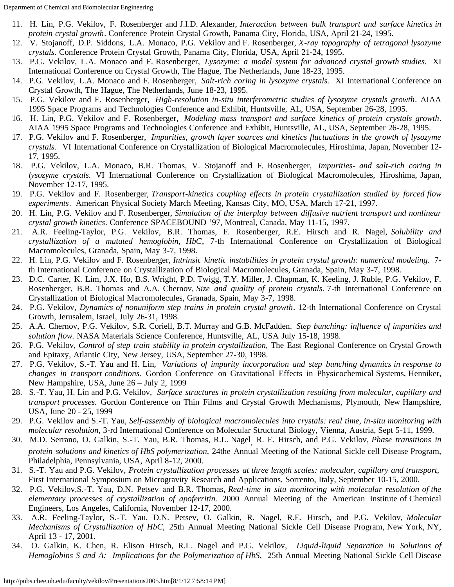Department of Chemical and Biomolecular Engineering

- 11. H. Lin, P.G. Vekilov, F. Rosenberger and J.I.D. Alexander, *Interaction between bulk transport and surface kinetics in protein crystal growth*. Conference Protein Crystal Growth, Panama City, Florida, USA, April 21-24, 1995.
- 12. V. Stojanoff, D.P. Siddons, L.A. Monaco, P.G. Vekilov and F. Rosenberger, *X-ray topography of tetragonal lysozyme crystals*. Conference Protein Crystal Growth, Panama City, Florida, USA, April 21-24, 1995.
- 13. P.G. Vekilov, L.A. Monaco and F. Rosenberger, *Lysozyme: a model system for advanced crystal growth studies.* XI International Conference on Crystal Growth, The Hague, The Netherlands, June 18-23, 1995.
- 14. P.G. Vekilov, L.A. Monaco and F. Rosenberger, *Salt-rich coring in lysozyme crystals.* XI International Conference on Crystal Growth, The Hague, The Netherlands, June 18-23, 1995.
- 15. P.G. Vekilov and F. Rosenberger, *High-resolution in-situ interferometric studies of lysozyme crystals growth*. AIAA 1995 Space Programs and Technologies Conference and Exhibit, Huntsville, AL, USA, September 26-28, 1995.
- 16. H. Lin, P.G. Vekilov and F. Rosenberger, *Modeling mass transport and surface kinetics of protein crystals growth*. AIAA 1995 Space Programs and Technologies Conference and Exhibit, Huntsville, AL, USA, September 26-28, 1995.
- 17. P.G. Vekilov and F. Rosenberger, *Impurities, growth layer sources and kinetics fluctuations in the growth of lysozyme crystals.* VI International Conference on Crystallization of Biological Macromolecules, Hiroshima, Japan, November 12- 17, 1995.
- 18. P.G. Vekilov, L.A. Monaco, B.R. Thomas, V. Stojanoff and F. Rosenberger, *Impurities- and salt-rich coring in lysozyme crystals.* VI International Conference on Crystallization of Biological Macromolecules, Hiroshima, Japan, November 12-17, 1995.
- 19. P.G. Vekilov and F. Rosenberger, *Transport-kinetics coupling effects in protein crystallization studied by forced flow experiments*. American Physical Society March Meeting, Kansas City, MO, USA, March 17-21, 1997.
- 20. H. Lin, P.G. Vekilov and F. Rosenberger, *Simulation of the interplay between diffusive nutrient transport and nonlinear crystal growth kinetics*. Conference SPACEBOUND '97, Montreal, Canada, May 11-15, 1997.
- 21. A.R. Feeling-Taylor, P.G. Vekilov, B.R. Thomas, F. Rosenberger, R.E. Hirsch and R. Nagel, *Solubility and crystallization of a mutated hemoglobin, HbC*, 7-th International Conference on Crystallization of Biological Macromolecules, Granada, Spain, May 3-7, 1998.
- 22. H. Lin, P.G. Vekilov and F. Rosenberger, *Intrinsic kinetic instabilities in protein crystal growth: numerical modeling.* 7 th International Conference on Crystallization of Biological Macromolecules, Granada, Spain, May 3-7, 1998.
- 23. D.C. Carter, K. Lim, J.X. Ho, B.S. Wright, P.D. Twigg, T.Y. Miller, J. Chapman, K. Keeling, J. Ruble, P.G. Vekilov, F. Rosenberger, B.R. Thomas and A.A. Chernov, *Size and quality of protein crystals.* 7-th International Conference on Crystallization of Biological Macromolecules, Granada, Spain, May 3-7, 1998.
- 24. P.G. Vekilov, *Dynamics of nonuniform step trains in protein crystal growth*. 12-th International Conference on Crystal Growth, Jerusalem, Israel, July 26-31, 1998.
- 25. A.A. Chernov, P.G. Vekilov, S.R. Coriell, B.T. Murray and G.B. McFadden. *Step bunching: influence of impurities and solution flow.* NASA Materials Science Conference, Huntsville, AL, USA July 15-18, 1998.
- 26. P.G. Vekilov, *Control of step train stability in protein crystallization,* The East Regional Conference on Crystal Growth and Epitaxy, Atlantic City, New Jersey, USA, September 27-30, 1998.
- 27. P.G. Vekilov, S.-T. Yau and H. Lin, *Variations of impurity incorporation and step bunching dynamics in response to changes in transport conditions.* Gordon Conference on Gravitational Effects in Physicochemical Systems, Henniker, New Hampshire, USA, June 26 – July 2, 1999
- 28. S.-T. Yau, H. Lin and P.G. Vekilov, *Surface structures in protein crystallization resulting from molecular, capillary and transport processes.* Gordon Conference on Thin Films and Crystal Growth Mechanisms, Plymouth, New Hampshire, USA, June 20 - 25, 1999
- 29. P.G. Vekilov and S.-T. Yau, *Self-assembly of biological macromolecules into crystals: real time, in-situ monitoring with molecular resolution*, 3-rd International Conference on Molecular Structural Biology, Vienna, Austria, Sept 5-11, 1999.
- 30. M.D. Serrano, O. Galkin, S.-T. Yau, B.R. Thomas, R.L. Nagel, R. E. Hirsch, and P.G. Vekilov, *Phase transitions in protein solutions and kinetics of HbS polymerization,* 24the Annual Meeting of the National Sickle cell Disease Program, Philadelphia, Pennsylvania, USA, April 8-12, 2000.
- 31. S.-T. Yau and P.G. Vekilov, *Protein crystallization processes at three length scales: molecular, capillary and transport,* First International Symposium on Microgravity Research and Applications, Sorrento, Italy, September 10-15, 2000.
- 32. P.G. Vekilov,S.-T. Yau, D.N. Petsev and B.R. Thomas, *Real-time in situ monitoring with molecular resolution of the elementary processes of crystallization of apoferritin*. 2000 Annual Meeting of the American Institute of Chemical Engineers, Los Angeles, California, November 12-17, 2000.
- 33. A.R. Feeling-Taylor, S.-T. Yau, D.N. Petsev, O. Galkin, R. Nagel, R.E. Hirsch, and P.G. Vekilov, *Molecular Mechanisms of Crystallization of HbC,* 25th Annual Meeting National Sickle Cell Disease Program, New York, NY, April 13 - 17, 2001.
- 34. O. Galkin, K. Chen, R. Elison Hirsch, R.L. Nagel and P.G. Vekilov, *Liquid-liquid Separation in Solutions of Hemoglobins S and A: Implications for the Polymerization of HbS*, 25th Annual Meeting National Sickle Cell Disease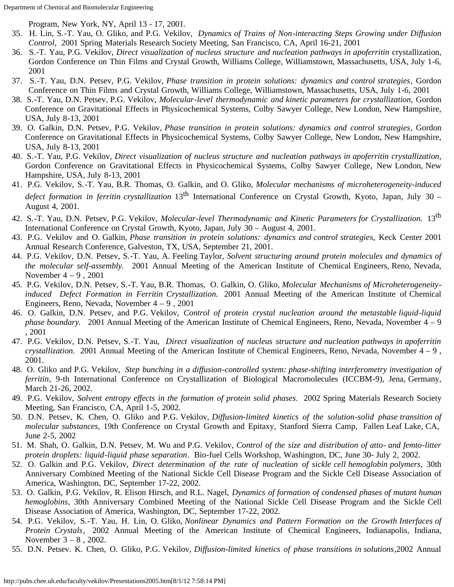Program, New York, NY, April 13 - 17, 2001.

- 35. H. Lin, S.-T. Yau, O. Gliko, and P.G. Vekilov, *Dynamics of Trains of Non-interacting Steps Growing under Diffusion Control*, 2001 Spring Materials Research Society Meeting, San Francisco, CA, April 16-21, 2001
- 36. S.-T. Yau, P.G. Vekilov, *Direct visualization of nucleus structure and nucleation pathways in apoferritin* crystallization, Gordon Conference on Thin Films and Crystal Growth, Williams College, Williamstown, Massachusetts, USA, July 1-6, 2001
- 37. S.-T. Yau, D.N. Petsev, P.G. Vekilov, *Phase transition in protein solutions: dynamics and control strategies*, Gordon Conference on Thin Films and Crystal Growth, Williams College, Williamstown, Massachusetts, USA, July 1-6, 2001
- 38. S.-T. Yau, D.N. Petsev, P.G. Vekilov, *Molecular-level thermodynamic and kinetic parameters for crystallization*, Gordon Conference on Gravitational Effects in Physicochemical Systems, Colby Sawyer College, New London, New Hampshire, USA, July 8-13, 2001
- 39. O. Galkin, D.N. Petsev, P.G. Vekilov, *Phase transition in protein solutions: dynamics and control strategies*, Gordon Conference on Gravitational Effects in Physicochemical Systems, Colby Sawyer College, New London, New Hampshire, USA, July 8-13, 2001
- 40. S.-T. Yau, P.G. Vekilov, *Direct visualization of nucleus structure and nucleation pathways in apoferritin crystallization*, Gordon Conference on Gravitational Effects in Physicochemical Systems, Colby Sawyer College, New London, New Hampshire, USA, July 8-13, 2001
- 41. P.G. Vekilov, S.-T. Yau, B.R. Thomas, O. Galkin, and O. Gliko, *Molecular mechanisms of microheterogeneity-induced defect formation in ferritin crystallization* 13<sup>th</sup> International Conference on Crystal Growth, Kyoto, Japan, July 30 – August 4, 2001.
- 42. S.-T. Yau, D.N. Petsev, P.G. Vekilov, *Molecular-level Thermodynamic and Kinetic Parameters for Crystallization.* 13th International Conference on Crystal Growth, Kyoto, Japan, July 30 – August 4, 2001.
- 43. P.G. Vekilov and O. Galkin, *Phase transition in protein solutions: dynamics and control strategie*s, Keck Center 2001 Annual Research Conference, Galveston, TX, USA, September 21, 2001.
- 44. P.G. Vekilov, D.N. Petsev, S.-T. Yau, A. Feeling Taylor, *Solvent structuring around protein molecules and dynamics of the molecular self-assembly.* 2001 Annual Meeting of the American Institute of Chemical Engineers, Reno, Nevada, November  $4 - 9$ , 2001
- 45. P.G. Vekilov, D.N. Petsev, S.-T. Yau, B.R. Thomas, O. Galkin, O. Gliko, *Molecular Mechanisms of Microheterogeneityinduced Defect Formation in Ferritin Crystallization.* 2001 Annual Meeting of the American Institute of Chemical Engineers, Reno, Nevada, November 4 – 9 , 2001
- 46. O. Galkin, D.N. Petsev, and P.G. Vekilov, *Control of protein crystal nucleation around the metastable liquid-liquid phase boundary.* 2001 Annual Meeting of the American Institute of Chemical Engineers, Reno, Nevada, November 4 – 9 , 2001
- 47. P.G. Vekilov, D.N. Petsev, S.-T. Yau, *Direct visualization of nucleus structure and nucleation pathways in apoferritin crystallization.* 2001 Annual Meeting of the American Institute of Chemical Engineers, Reno, Nevada, November 4 – 9 , 2001.
- 48. O. Gliko and P.G. Vekilov, *Step bunching in a diffusion-controlled system: phase-shifting interferometry investigation of ferritin*, 9-th International Conference on Crystallization of Biological Macromolecules (ICCBM-9), Jena, Germany, March 21-26, 2002.
- 49. P.G. Vekilov, *Solvent entropy effects in the formation of protein solid phases.* 2002 Spring Materials Research Society Meeting, San Francisco, CA, April 1-5, 2002.
- 50. D.N. Petsev, K. Chen, O. Gliko and P.G. Vekilov, *Diffusion-limited kinetics of the solution-solid phase transition of molecular substances*, 19th Conference on Crystal Growth and Epitaxy, Stanford Sierra Camp, Fallen Leaf Lake, CA, June 2-5, 2002
- 51. M. Shah, O. Galkin, D.N. Petsev, M. Wu and P.G. Vekilov, *Control of the size and distribution of atto- and femto-litter protein droplets: liquid-liquid phase separation*. Bio-fuel Cells Workshop, Washington, DC, June 30- July 2, 2002.
- 52. O. Galkin and P.G. Vekilov, *Direct determination of the rate of nucleation of sickle cell hemoglobin polymers*, 30th Anniversary Combined Meeting of the National Sickle Cell Disease Program and the Sickle Cell Disease Association of America, Washington, DC, September 17-22, 2002.
- 53. O. Galkin, P.G. Vekilov, R. Elison Hirsch, and R.L. Nagel, *Dynamics of formation of condensed phases of mutant human hemoglobins*, 30th Anniversary Combined Meeting of the National Sickle Cell Disease Program and the Sickle Cell Disease Association of America, Washington, DC, September 17-22, 2002.
- 54. P.G. Vekilov, S.-T. Yau, H. Lin, O. Gliko, *Nonlinear Dynamics and Pattern Formation on the Growth Interfaces of Protein Crystals*, 2002 Annual Meeting of the American Institute of Chemical Engineers, Indianapolis, Indiana, November 3 – 8 , 2002.
- 55. D.N. Petsev. K. Chen, O. Gliko, P.G. Vekilov, *Diffusion-limited kinetics of phase transitions in solutions*,2002 Annual